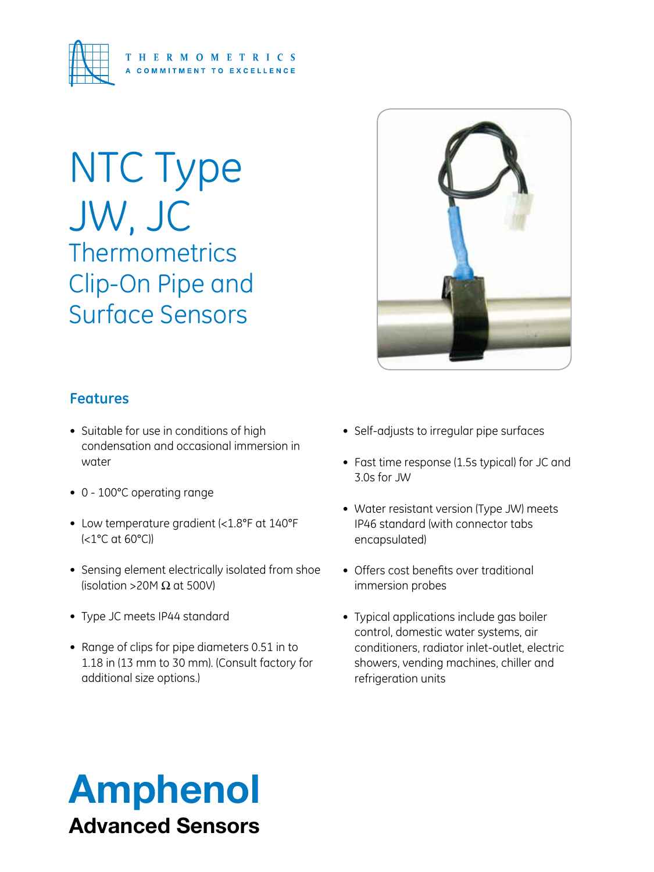

# NTC Type JW, JC **Thermometrics** Clip-On Pipe and Surface Sensors



## **Features**

- Suitable for use in conditions of high condensation and occasional immersion in water
- 0 100°C operating range
- Low temperature gradient (<1.8°F at 140°F (<1°C at 60°C))
- Sensing element electrically isolated from shoe (isolation >20M  $\Omega$  at 500V)
- Type JC meets IP44 standard
- Range of clips for pipe diameters 0.51 in to 1.18 in (13 mm to 30 mm). (Consult factory for additional size options.)
- Self-adjusts to irregular pipe surfaces
- Fast time response (1.5s typical) for JC and 3.0s for JW
- Water resistant version (Type JW) meets IP46 standard (with connector tabs encapsulated)
- Offers cost benefits over traditional immersion probes
- Typical applications include gas boiler control, domestic water systems, air conditioners, radiator inlet-outlet, electric showers, vending machines, chiller and refrigeration units

# Amphenol Advanced Sensors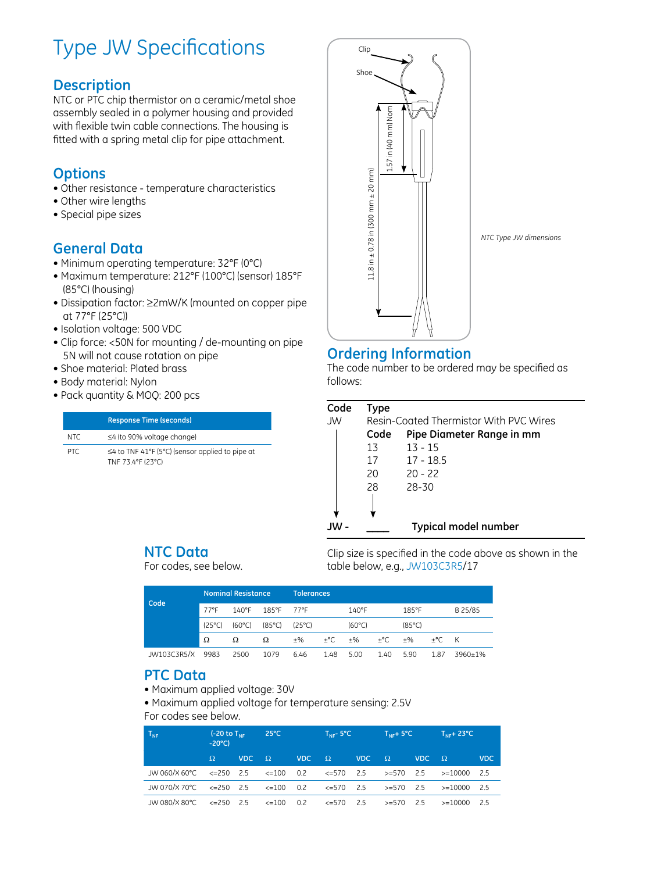## Type JW Specifications

#### **Description**

NTC or PTC chip thermistor on a ceramic/metal shoe assembly sealed in a polymer housing and provided with flexible twin cable connections. The housing is fitted with a spring metal clip for pipe attachment.

### **Options**

- Other resistance temperature characteristics
- Other wire lengths
- Special pipe sizes

## **General Data**

- Minimum operating temperature: 32°F (0°C)
- Maximum temperature: 212°F (100°C) (sensor) 185°F (85°C) (housing)
- Dissipation factor: ≥2mW/K (mounted on copper pipe at 77°F (25°C))
- Isolation voltage: 500 VDC
- Clip force: <50N for mounting / de-mounting on pipe 5N will not cause rotation on pipe
- Shoe material: Plated brass
- Body material: Nylon
- Pack quantity & MOQ: 200 pcs

|      | <b>Response Time (seconds)</b>                                             |
|------|----------------------------------------------------------------------------|
| NTC. | $\leq$ 4 (to 90% voltage change)                                           |
| PTC. | $\leq$ 4 to TNF 41°F (5°C) (sensor applied to pipe at<br>TNF 73.4°F (23°C) |



## **Ordering Information**

The code number to be ordered may be specified as follows:

| Code | Type |                                        |  |  |  |  |  |  |  |  |
|------|------|----------------------------------------|--|--|--|--|--|--|--|--|
| JW   |      | Resin-Coated Thermistor With PVC Wires |  |  |  |  |  |  |  |  |
|      | Code | Pipe Diameter Range in mm              |  |  |  |  |  |  |  |  |
|      | 13   | $13 - 15$                              |  |  |  |  |  |  |  |  |
|      | 17   | $17 - 18.5$                            |  |  |  |  |  |  |  |  |
|      | 20   | $20 - 22$                              |  |  |  |  |  |  |  |  |
|      | 28   | 28-30                                  |  |  |  |  |  |  |  |  |
|      |      |                                        |  |  |  |  |  |  |  |  |
|      |      |                                        |  |  |  |  |  |  |  |  |
|      |      | <b>Typical model number</b>            |  |  |  |  |  |  |  |  |

#### **NTC Data**

For codes, see below.

Clip size is specified in the code above as shown in the table below, e.g., JW103C3R5/17

| Code        | <b>Nominal Resistance</b> |                  |                  | Tolerances      |               |                  |               |                 |               |         |
|-------------|---------------------------|------------------|------------------|-----------------|---------------|------------------|---------------|-----------------|---------------|---------|
|             | 77°F                      | $140^{\circ}$ F  | 185°F            | 77°F            |               | $140^{\circ}$ F  |               | 185°F           |               | B 25/85 |
|             | $(25^{\circ}C)$           | $(60^{\circ}$ C) | $(85^{\circ}$ C) | $(25^{\circ}C)$ |               | $(60^{\circ}$ C) |               | $(85^{\circ}C)$ |               |         |
|             | Ω                         | Ω                | Ω                | $+$ %           | $+^{\circ}$ C | $+$ %            | $+^{\circ}$ C | $+$ %           | $+^{\circ}$ C | K       |
| JW103C3R5/X | 9983                      | 2500             | 1079             | 6.46            | 1.48          | 5.00             | 1.40          | 5.90            | 1.87          | 3960+1% |

#### **PTC Data**

- Maximum applied voltage: 30V
- Maximum applied voltage for temperature sensing: 2.5V For codes see below.

| $\mathsf{T}_{\mathsf{NF}}$                                                    | $-20^{\circ}$ C) | $(-20 \text{ to } T_{\text{NE}}$ 25°C |                                                      |              |  | $T_{\text{NE}}$ – 5°C i |          | $T_{\text{NE}} + 5^{\circ}C$ $T_{\text{NE}} + 23^{\circ}C$ |                                                                |      |  |
|-------------------------------------------------------------------------------|------------------|---------------------------------------|------------------------------------------------------|--------------|--|-------------------------|----------|------------------------------------------------------------|----------------------------------------------------------------|------|--|
|                                                                               | $\Omega$         | <b>VDC</b>                            | $\Omega$                                             | VDC $\Omega$ |  | <b>VDC</b>              | $\Omega$ | $VDC \square Q$                                            |                                                                | VDC. |  |
| JW 060/X 60°C.                                                                |                  |                                       |                                                      |              |  |                         |          |                                                            | <=250 2.5  <=100  0.2   <=570  2.5   >=570  2.5   >=10000  2.5 |      |  |
| JW 070/X 70°C $\leq$ =250 2.5 $\leq$ =100 0.2 $\leq$ =570 2.5 $\geq$ =570 2.5 |                  |                                       |                                                      |              |  |                         |          |                                                            | >=10000 2.5                                                    |      |  |
| JW 080/X 80°C.                                                                |                  |                                       | <=250  2.5    <=100  0.2    <=570  2.5    >=570  2.5 |              |  |                         |          |                                                            | >=10000 2.5                                                    |      |  |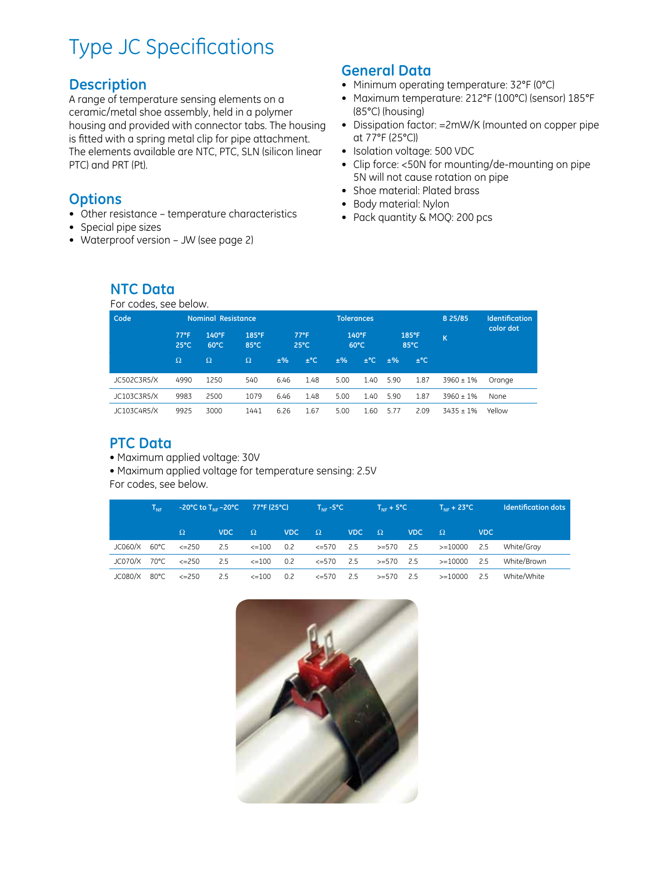## Type JC Specifications

#### **Description**

A range of temperature sensing elements on a ceramic/metal shoe assembly, held in a polymer housing and provided with connector tabs. The housing is fitted with a spring metal clip for pipe attachment. The elements available are NTC, PTC, SLN (silicon linear PTC) and PRT (Pt).

### **Options**

- Other resistance temperature characteristics
- Special pipe sizes
- • Waterproof version JW (see page 2)

#### **General Data**

- Minimum operating temperature: 32°F (0°C)
- • Maximum temperature: 212°F (100°C) (sensor) 185°F (85°C) (housing)
- Dissipation factor: =2mW/K (mounted on copper pipe at 77°F (25°C))
- Isolation voltage: 500 VDC
- Clip force: <50N for mounting/de-mounting on pipe 5N will not cause rotation on pipe
- Shoe material: Plated brass
- • Body material: Nylon
- Pack quantity & MOQ: 200 pcs

#### **NTC Data**

For codes, see below.

| Code        |                                  | <b>Nominal Resistance</b> |               |                                  |          | <b>Tolerances</b>       |           |               |          | B 25/85        | <b>Identification</b> |
|-------------|----------------------------------|---------------------------|---------------|----------------------------------|----------|-------------------------|-----------|---------------|----------|----------------|-----------------------|
|             | $77^{\circ}$ F<br>$25^{\circ}$ C | 140°F<br>$60^{\circ}$ C   | 185°F<br>85°C | $77^{\circ}$ F<br>$25^{\circ}$ C |          | 140°F<br>$60^{\circ}$ C |           | 185°F<br>85°C |          | K              | color dot             |
|             | $\Omega$                         | $\Omega$                  | $\Omega$      | ±%                               | $\pm$ °C | ±%                      | $\pm$ °C. | ±%            | $\pm$ °C |                |                       |
| JC502C3R5/X | 4990                             | 1250                      | 540           | 6.46                             | 1.48     | 5.00                    | 1.40      | 5.90          | 1.87     | $3960 \pm 1\%$ | Orange                |
| JC103C3R5/X | 9983                             | 2500                      | 1079          | 6.46                             | 1.48     | 5.00                    | 1.40      | 5.90          | 1.87     | $3960 + 1%$    | None                  |
| JC103C4R5/X | 9925                             | 3000                      | 1441          | 6.26                             | 1.67     | 5.00                    | 1.60      | 577           | 2.09     | $3435 + 1%$    | Yellow                |

### **PTC Data**

• Maximum applied voltage: 30V

• Maximum applied voltage for temperature sensing: 2.5V

For codes, see below.

|              | $T_{\text{NE}}$ | $-20^{\circ}$ C to T <sub>NF</sub> $-20^{\circ}$ C $-77^{\circ}$ F (25 $^{\circ}$ C) $\qquad$ T <sub>NF</sub> $-5^{\circ}$ C |            |            |       |                 |       | $T_{\text{NF}}$ + 5°C |       | $T_{\text{NE}} + 23^{\circ}C$                            |            | <b>Identification dots</b> |
|--------------|-----------------|------------------------------------------------------------------------------------------------------------------------------|------------|------------|-------|-----------------|-------|-----------------------|-------|----------------------------------------------------------|------------|----------------------------|
|              |                 | $\Omega$                                                                                                                     | <b>VDC</b> | $\Omega$   | VDC - | $\Omega$        | VDC - | $\Omega$              | VDC - | $\Omega$                                                 | <b>VDC</b> |                            |
| JC060/X 60°C |                 | $\epsilon = 250$                                                                                                             | 2.5        | <=100      | 0.2   |                 |       |                       |       | $\epsilon = 570$ 2.5 $\geq = 570$ 2.5 $\geq = 10000$ 2.5 |            | White/Grav                 |
| JC070/X 70°C |                 | $\epsilon = 250$                                                                                                             | 2.5        | <=100      | 0.2   | $\leq$ =570 2.5 |       | $>= 570$ 2.5          |       | >=10000                                                  | 2.5        | White/Brown                |
| JC080/X      | 80°C            | $\leq$ 250                                                                                                                   | 2.5        | $\leq$ 100 | 0.2   | <=570           | 2.5   | >=570                 | 2.5   | $>=10000$                                                | 2.5        | White/White                |